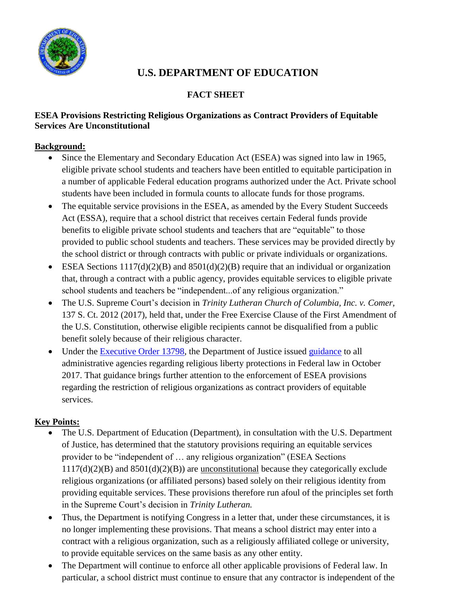

# **U.S. DEPARTMENT OF EDUCATION**

## **FACT SHEET**

### **ESEA Provisions Restricting Religious Organizations as Contract Providers of Equitable Services Are Unconstitutional**

## **Background:**

- Since the Elementary and Secondary Education Act (ESEA) was signed into law in 1965, eligible private school students and teachers have been entitled to equitable participation in a number of applicable Federal education programs authorized under the Act. Private school students have been included in formula counts to allocate funds for those programs.
- The equitable service provisions in the ESEA, as amended by the Every Student Succeeds Act (ESSA), require that a school district that receives certain Federal funds provide benefits to eligible private school students and teachers that are "equitable" to those provided to public school students and teachers. These services may be provided directly by the school district or through contracts with public or private individuals or organizations.
- ESEA Sections  $1117(d)(2)(B)$  and  $8501(d)(2)(B)$  require that an individual or organization that, through a contract with a public agency, provides equitable services to eligible private school students and teachers be "independent...of any religious organization."
- The U.S. Supreme Court's decision in *Trinity Lutheran Church of Columbia, Inc. v. Comer,*  137 S. Ct. 2012 (2017), held that, under the Free Exercise Clause of the First Amendment of the U.S. Constitution, otherwise eligible recipients cannot be disqualified from a public benefit solely because of their religious character.
- Under the [Executive Order 13798,](https://www.govinfo.gov/content/pkg/FR-2017-05-09/pdf/2017-09574.pdf) the Department of Justice issued [guidance](https://www.justice.gov/opa/press-release/file/1001886/download) to all administrative agencies regarding religious liberty protections in Federal law in October 2017. That guidance brings further attention to the enforcement of ESEA provisions regarding the restriction of religious organizations as contract providers of equitable services.

# **Key Points:**

- The U.S. Department of Education (Department), in consultation with the U.S. Department of Justice, has determined that the statutory provisions requiring an equitable services provider to be "independent of … any religious organization" (ESEA Sections  $1117(d)(2)(B)$  and  $8501(d)(2)(B)$  are unconstitutional because they categorically exclude religious organizations (or affiliated persons) based solely on their religious identity from providing equitable services. These provisions therefore run afoul of the principles set forth in the Supreme Court's decision in *Trinity Lutheran.*
- Thus, the Department is notifying Congress in a letter that, under these circumstances, it is no longer implementing these provisions. That means a school district may enter into a contract with a religious organization, such as a religiously affiliated college or university, to provide equitable services on the same basis as any other entity.
- The Department will continue to enforce all other applicable provisions of Federal law. In particular, a school district must continue to ensure that any contractor is independent of the